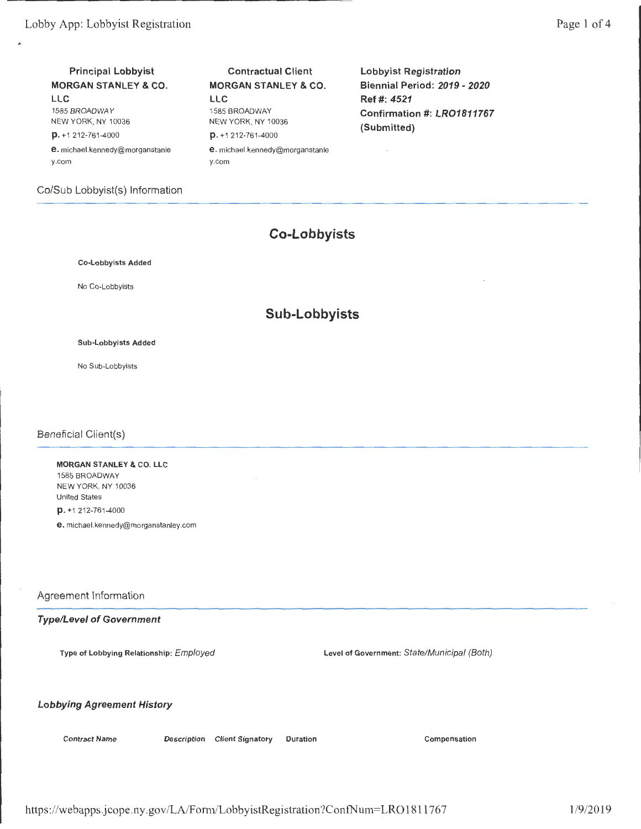# **Principal Lobbyist MORGAN STANLEY & CO.**

**LLC**  1585 BROADWAY NEW YORK, NY 10036 **p.** +1 212-761-4000

**e.** michael.kennedy@morganstanle y.com

Co/Sub Lobbyist(s) Information

#### **Contractual Client MORGAN STANLEY & CO. LLC**  1585 BROADWAY

NEW YORK, NY 10036 **p.** +1 212-761-4000 **e.** michael.kennedy@morganstanle

y.com

**Lobbyist Registration Biennial Period: 2019- 2020 Ref#: 4521 Confirmation#: LR01811767 (Submitted)** 

## **Co-Lobbyists**

Co-Lobbyists Added

No Co-Lobbyists

## **Sub-Lobbyists**

Sub-Lobbyists Added

No Sub-Lobbyists

#### Beneficial Client(s)

**MORGAN STANLEY** & CO. **LLC**  1585 BROADWAY NEW YORK, NY 10036 United States **p.** +1 212-761-4000

**e.** michael.kennedy@morganstanley.com

#### Agreement Information

#### **Type/Level of Government**

Type of Lobbying Relationship: Employed Level of Government: State/Municipal (Both)

#### **Lobbying Agreement History**

Contract Name Description Client Signatory Duration Compensation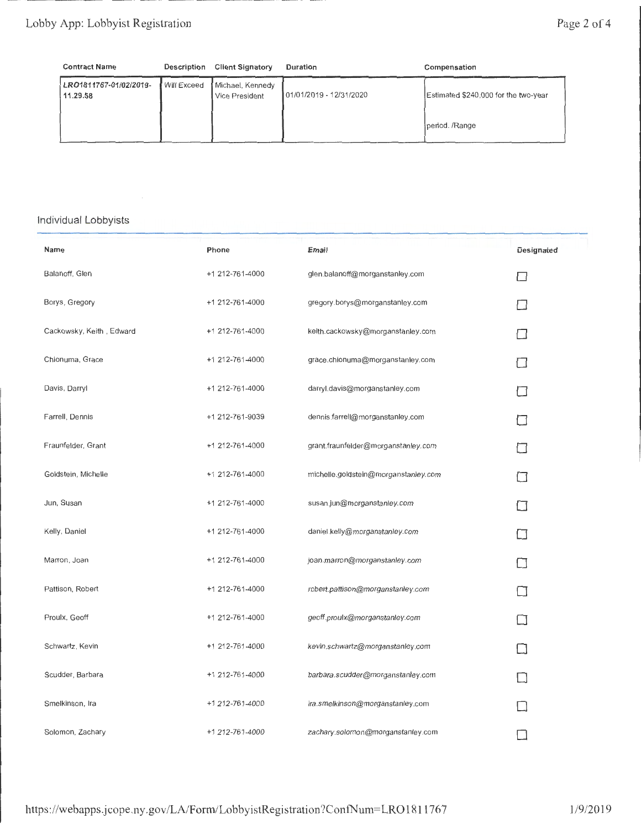| <b>Contract Name</b>               | <b>Description</b> | <b>Client Signatory</b>            | Duration                | Compensation                         |
|------------------------------------|--------------------|------------------------------------|-------------------------|--------------------------------------|
| LRO1811767-01/02/2019-<br>11.29.58 | <b>Will Exceed</b> | Michael, Kennedy<br>Vice President | 01/01/2019 - 12/31/2020 | Estimated \$240,000 for the two-year |
|                                    |                    |                                    |                         | period. /Range                       |

### Individual Lobbyists

| Name                     | Phone           | Email                                | Designated |
|--------------------------|-----------------|--------------------------------------|------------|
| Balanoff, Glen           | +1 212-761-4000 | glen.balanoff@morganstanley.com      |            |
| Borys, Gregory           | +1 212-761-4000 | gregory.borys@morganstanley.com      |            |
| Cackowsky, Keith, Edward | +1 212-761-4000 | keith.cackowsky@morganstanley.com    |            |
| Chionuma, Grace          | +1 212-761-4000 | grace.chionuma@morganstanley.com     |            |
| Davis, Darryl            | +1 212-761-4000 | darryl.davis@morganstanley.com       |            |
| Farrell, Dennis          | +1 212-761-9039 | dennis.farrell@morganstanley.com     |            |
| Fraunfelder, Grant       | +1 212-761-4000 | grant.fraunfelder@morganstanley.com  |            |
| Goldstein, Michelle      | +1 212-761-4000 | michelle.goldstein@morganstanley.com |            |
| Jun, Susan               | +1 212-761-4000 | susan.jun@morganstanley.com          |            |
| Kelly, Daniel            | +1 212-761-4000 | daniel.kelly@morganstanley.com       |            |
| Marron, Joan             | +1 212-761-4000 | joan.marron@morganstanley.com        |            |
| Pattison, Robert         | +1 212-761-4000 | robert.pattison@morganstanley.com    |            |
| Proulx, Geoff            | +1 212-761-4000 | geoff.proulx@morganstanley.com       |            |
| Schwartz, Kevin          | +1 212-761-4000 | kevin.schwartz@morganstanley.com     |            |
| Scudder, Barbara         | +1 212-761-4000 | barbara.scudder@morganstanley.com    |            |
| Smelkinson, Ira          | +1 212-761-4000 | ira.smelkinson@morganstanley.com     |            |
| Solomon, Zachary         | +1 212-761-4000 | zachary.solomon@morganstanley.com    |            |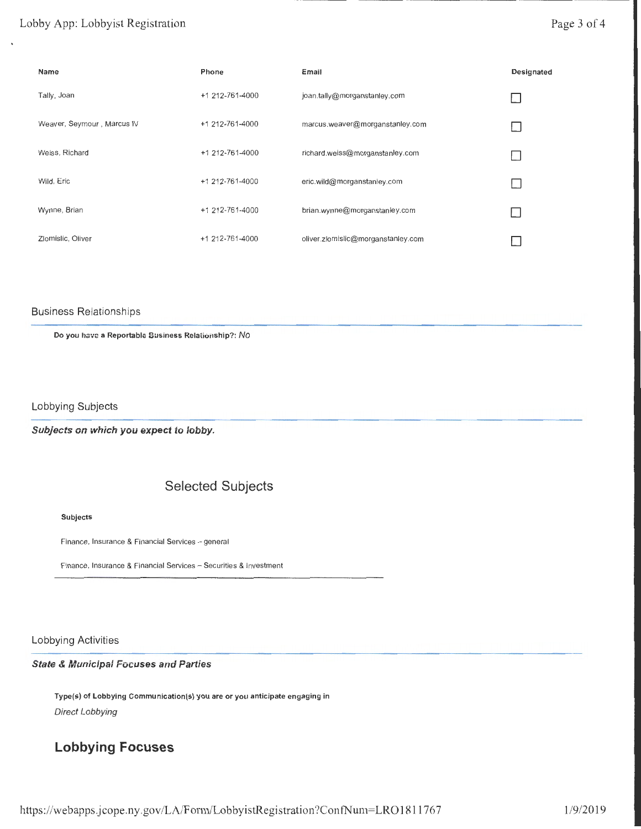### Lobby App: Lobbyist Registration

## Page 3 of 4

| Name                       | Phone           | Email                              | Designated |
|----------------------------|-----------------|------------------------------------|------------|
| Tally, Joan                | +1 212-761-4000 | joan.tally@morganstanley.com       |            |
| Weaver, Seymour, Marcus IV | +1 212-761-4000 | marcus.weaver@morganstanley.com    |            |
| Weiss, Richard             | +1 212-761-4000 | richard.weiss@morganstanley.com    |            |
| Wild, Eric                 | +1 212-761-4000 | eric.wild@morganstanley.com        |            |
| Wynne, Brian               | +1 212-761-4000 | brian.wynne@morganstanley.com      |            |
| Zlomislic, Oliver          | +1 212-761-4000 | oliver.zlomislic@morganstanley.com |            |

#### Business Relationships

Do you have a Reportable Business Relationship?: No

Lobbying Subjects

**Subjects on which you expect to lobby.** 

## **Selected Subjects**

#### Subjects

Finance, Insurance & Financial Services - general

Finance, Insurance & Financial Services- Securities & Investment

#### Lobbying Activities

#### **State & Municipal Focuses and Parties**

Type(s) of Lobbying Communication(s) you are or you anticipate engaging in Direct Lobbying

# **Lobbying Focuses**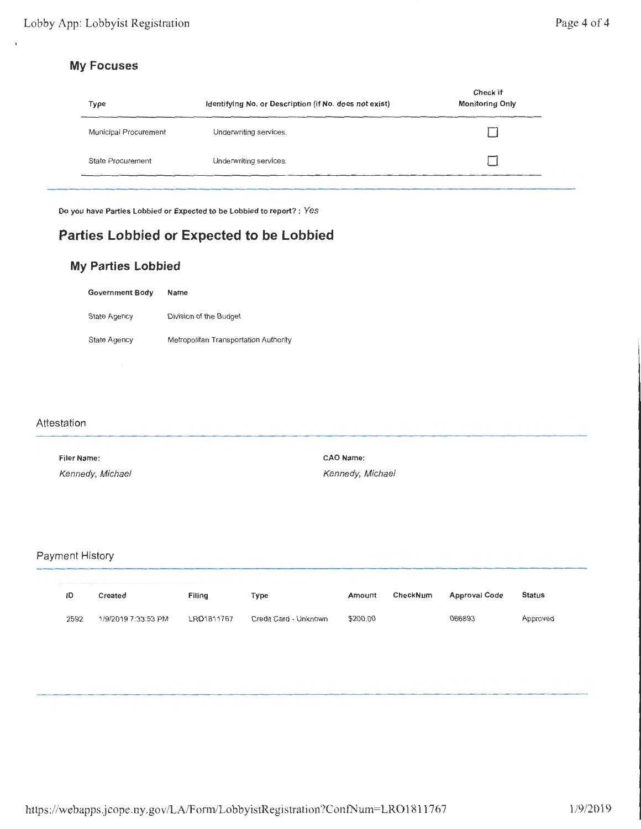## **My Focuses**

| Type                  | Identifying No. or Description (if No. does not exist) | Check if<br><b>Monitoring Only</b> |
|-----------------------|--------------------------------------------------------|------------------------------------|
| Municipal Procurement | Underwriting services.                                 |                                    |
| State Procurement     | Underwriting services.                                 |                                    |

Do you have Parties Lobbied or Expected to be Lobbied to report? : Yes

# **Parties Lobbied or Expected to be Lobbied**

## **My Parties Lobbied**

| <b>Government Body</b> | Name                                  |
|------------------------|---------------------------------------|
| State Agency           | Division of the Budget                |
| State Agency           | Metropolitan Transportation Authority |

#### Attestation

| Filer Name:      | <b>CAO Name:</b> |
|------------------|------------------|
| Kennedy, Michael | Kennedy, Michael |

### Payment History

| ID   | Created             | Filing     | Type                  | Amount   | CheckNum | <b>Approval Code</b> | Status   |
|------|---------------------|------------|-----------------------|----------|----------|----------------------|----------|
| 2592 | 1/9/2019 7:33:53 PM | LRO1811767 | Credit Card - Unknown | \$200.00 |          | 066893               | Approved |